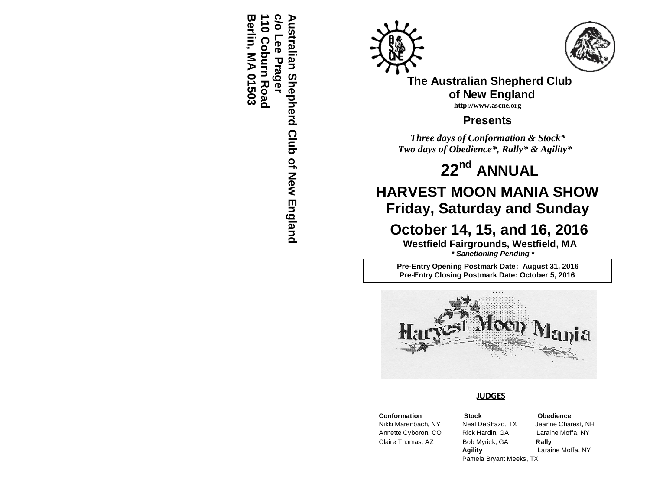**Berlin, MA 01503 110 Coburn Road c/o Lee Prager Australian Shepherd Club of New England** Berlin, MA 01503 **Australian Shepherd Club of New England 10 Coburn Road** õ Lee Prager





**The Australian Shepherd Club of New England http://www.ascne.org**

**Presents**

 *Three days of Conformation & Stock\* Two days of Obedience\*, Rally\* & Agility\**

**22 nd ANNUAL**

# **HARVEST MOON MANIA SHOW Friday, Saturday and Sunday**

 **October 14, 15, and 16, 2016**

**Westfield Fairgrounds, Westfield, MA**  *\* Sanctioning Pending \** 

**Pre-Entry Opening Postmark Date: August 31, 2016 Pre-Entry Closing Postmark Date: October 5, 2016**



#### **JUDGES**

 Annette Cyboron, CO Rick Hardin, GA Laraine Moffa, NY Claire Thomas, AZ Bob Myrick, GA **Rally**

 **Conformation Stock Obedience Agility** Laraine Moffa, NY Pamela Bryant Meeks, TX

# Nikki Marenbach, NY Neal DeShazo, TX Jeanne Charest, NH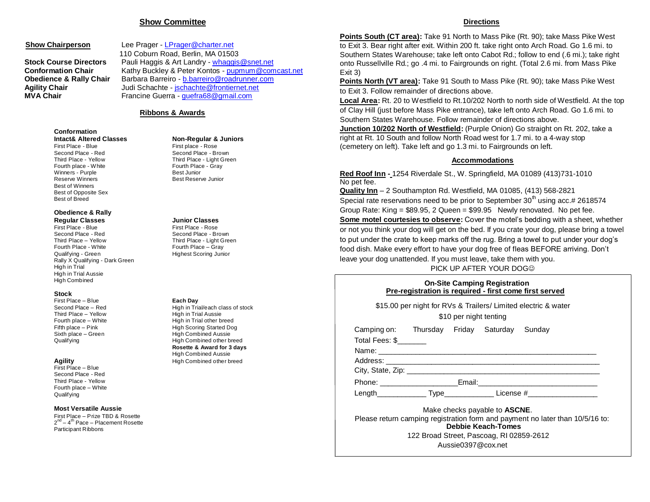#### **Show Committee**

**Show Chairperson** Lee Prager - [LPrager@charter.net](mailto:LPrager@charter.net) 110 Coburn Road, Berlin, MA 01503 **Stock Course Directors** Pauli Haggis & Art Landry - [whaggis@snet.net](mailto:whaggis@snet.net) **Conformation Chair** Kathy Buckley & Peter Kontos - [pupmum@comcast.net](mailto:pupmum@comcast.net) **Obedience & Rally Chair** Barbara Barreiro - [b.barreiro@roadrunner.com](mailto:b.barreiro@roadrunner.com) **Agility Chair Judi Schachte - [jschachte@frontiernet.net](mailto:jschachte@frontiernet.net) MVA Chair** Francine Guerra - [guefra68@gmail.com](mailto:guefra68@gmail.com) 

#### **Ribbons & Awards**

## **Conformation**

Second Place - Red Second Place - Brown Third Place - Yellow Third Place - Light Green Fourth place - White Fourth Place - Gray<br>
Winners - Purple<br>
Winners - Purple Winners - Purple<br>Reserve Winners Best of Winners Best of Opposite Sex Best of Breed

# **Obedience & Rally**

**Regular Classes Junior Classes** Second Place - Red Second Place - Brown Third Place – Yellow Third Place - Light Green Fourth Place - White Fourth Place – Gray Qualifying - Green Highest Scoring Junior Rally X Qualifying - Dark Green High in Trial High in Trial Aussie High Combined

#### **Stock**

First Place – Blue **Each Day** Third Place – Yellow High in Trial Aussie

First Place – Blue Second Place - Red Third Place - Yellow Fourth place – White **Qualifying** 

#### **Most Versatile Aussie**

First Place – Prize TBD & Rosette 2<sup>nd</sup> – 4<sup>th</sup> Pace – Placement Rosette Participant Ribbons

## **Intact& Altered Classes Non-Regular & Juniors**

First place - Rose **Best Reserve Junior** 

First Place - Rose

Second Place – Red **High in Trial/each class of stock** Fourth place – White High in Trial other breed Fifth place – Pink High Scoring Started Dog Sixth place – Green High Combined Aussie Qualifying **All Accords** High Combined other breed **Rosette & Award for 3 days** High Combined Aussie **Agility Agility High Combined other breed** 

#### **Directions**

**Points South (CT area):** Take 91 North to Mass Pike (Rt. 90); take Mass Pike West to Exit 3. Bear right after exit. Within 200 ft. take right onto Arch Road. Go 1.6 mi. to Southern States Warehouse; take left onto Cabot Rd.; follow to end (.6 mi.); take right onto Russellville Rd.; go .4 mi. to Fairgrounds on right. (Total 2.6 mi. from Mass Pike Exit 3)

**Points North (VT area):** Take 91 South to Mass Pike (Rt. 90); take Mass Pike West to Exit 3. Follow remainder of directions above.

**Local Area:** Rt. 20 to Westfield to Rt.10/202 North to north side of Westfield. At the top of Clay Hill (just before Mass Pike entrance), take left onto Arch Road. Go 1.6 mi. to Southern States Warehouse. Follow remainder of directions above.

**Junction 10/202 North of Westfield:** (Purple Onion) Go straight on Rt. 202, take a right at Rt. 10 South and follow North Road west for 1.7 mi. to a 4-way stop (cemetery on left). Take left and go 1.3 mi. to Fairgrounds on left.

#### **Accommodations**

**Red Roof Inn -** 1254 Riverdale St., W. Springfield, MA 01089 (413)731-1010 No pet fee.

**Quality Inn** – 2 Southampton Rd. Westfield, MA 01085, (413) 568-2821 Special rate reservations need to be prior to September  $30<sup>th</sup>$  using acc.# 2618574 Group Rate: King = \$89.95, 2 Queen = \$99.95 Newly renovated. No pet fee. **Some motel courtesies to observe:** Cover the motel's bedding with a sheet, whether or not you think your dog will get on the bed. If you crate your dog, please bring a towel to put under the crate to keep marks off the rug. Bring a towel to put under your dog's food dish. Make every effort to have your dog free of fleas BEFORE arriving. Don't leave your dog unattended. If you must leave, take them with you.

PICK UP AFTER YOUR DOG

| <b>On-Site Camping Registration</b>                    |  |
|--------------------------------------------------------|--|
| Pre-registration is reguired - first come first served |  |

| Camping on: Thursday Friday Saturday Sunday<br>Total Fees: \$ |  |                                       |                                                                                                                                                                                                                                |
|---------------------------------------------------------------|--|---------------------------------------|--------------------------------------------------------------------------------------------------------------------------------------------------------------------------------------------------------------------------------|
|                                                               |  |                                       |                                                                                                                                                                                                                                |
|                                                               |  |                                       |                                                                                                                                                                                                                                |
|                                                               |  |                                       |                                                                                                                                                                                                                                |
|                                                               |  |                                       | Phone: Email: Email: Email: Email: Email: Email: Email: Email: Email: Email: Email: Email: Email: Email: Email: Email: Email: Email: Email: Email: Email: Email: Email: Email: Email: Email: Email: Email: Email: Email: Email |
|                                                               |  |                                       | Length Type License #                                                                                                                                                                                                          |
|                                                               |  | Make checks payable to <b>ASCNE</b> . |                                                                                                                                                                                                                                |
|                                                               |  | <b>Debbie Keach-Tomes</b>             | Please return camping registration form and payment no later than 10/5/16 to:                                                                                                                                                  |

Aussie0397@cox.net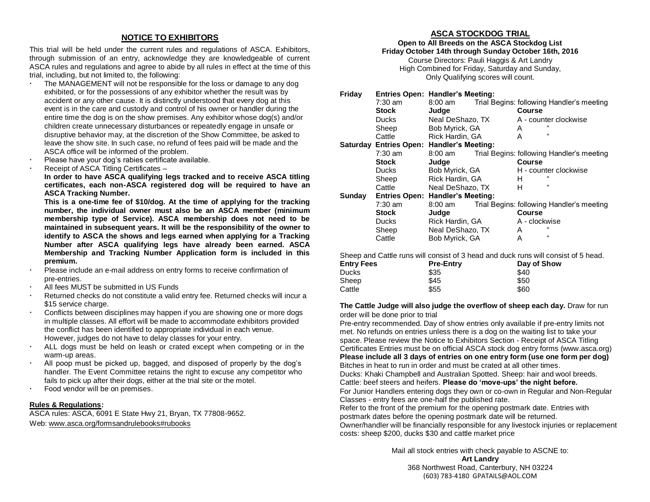#### **NOTICE TO EXHIBITORS**

This trial will be held under the current rules and regulations of ASCA. Exhibitors, through submission of an entry, acknowledge they are knowledgeable of current ASCA rules and regulations and agree to abide by all rules in effect at the time of this trial, including, but not limited to, the following:

- The MANAGEMENT will not be responsible for the loss or damage to any dog exhibited, or for the possessions of any exhibitor whether the result was by accident or any other cause. It is distinctly understood that every dog at this event is in the care and custody and control of his owner or handler during the entire time the dog is on the show premises. Any exhibitor whose dog(s) and/or children create unnecessary disturbances or repeatedly engage in unsafe or disruptive behavior may, at the discretion of the Show Committee, be asked to leave the show site. In such case, no refund of fees paid will be made and the ASCA office will be informed of the problem.
- Please have your dog's rabies certificate available.
- Receipt of ASCA Titling Certificates –

**In order to have ASCA qualifying legs tracked and to receive ASCA titling certificates, each non-ASCA registered dog will be required to have an ASCA Tracking Number.** 

**This is a one-time fee of \$10/dog. At the time of applying for the tracking number, the individual owner must also be an ASCA member (minimum membership type of Service). ASCA membership does not need to be maintained in subsequent years. It will be the responsibility of the owner to identify to ASCA the shows and legs earned when applying for a Tracking Number after ASCA qualifying legs have already been earned. ASCA Membership and Tracking Number Application form is included in this premium.**

- Please include an e-mail address on entry forms to receive confirmation of pre-entries.
- All fees MUST be submitted in US Funds
- Returned checks do not constitute a valid entry fee. Returned checks will incur a \$15 service charge.
- Conflicts between disciplines may happen if you are showing one or more dogs in multiple classes. All effort will be made to accommodate exhibitors provided the conflict has been identified to appropriate individual in each venue. However, judges do not have to delay classes for your entry.
- ALL dogs must be held on leash or crated except when competing or in the warm-up areas.
- All poop must be picked up, bagged, and disposed of properly by the dog's handler. The Event Committee retains the right to excuse any competitor who fails to pick up after their dogs, either at the trial site or the motel.
- Food vendor will be on premises.

#### **Rules & Regulations:**

ASCA rules: ASCA, 6091 E State Hwy 21, Bryan, TX 77808-9652. Web[: www.asca.org](http://www.asca.or/)/formsandrulebooks#rubooks

#### **ASCA STOCKDOG TRIAL**

**Open to All Breeds on the ASCA Stockdog List**

**Friday October 14th through Sunday October 16th, 2016** Course Directors: Pauli Haggis & Art Landry High Combined for Friday, Saturday and Sunday,

Only Qualifying scores will count.

| Friday |              | <b>Entries Open: Handler's Meeting:</b>   |               |                                           |  |  |  |
|--------|--------------|-------------------------------------------|---------------|-------------------------------------------|--|--|--|
|        | $7:30$ am    | $8:00 \text{ am}$                         |               | Trial Begins: following Handler's meeting |  |  |  |
|        | <b>Stock</b> | Judge                                     | Course        |                                           |  |  |  |
|        | <b>Ducks</b> | Neal DeShazo, TX                          |               | A - counter clockwise                     |  |  |  |
|        | Sheep        | Bob Myrick, GA                            | A             |                                           |  |  |  |
|        | Cattle       | Rick Hardin, GA                           | A             | $\alpha$                                  |  |  |  |
|        |              | Saturday Entries Open: Handler's Meeting: |               |                                           |  |  |  |
|        | $7:30$ am    | $8:00 \text{ am}$                         |               | Trial Begins: following Handler's meeting |  |  |  |
|        | Stock        | Judge                                     | Course        |                                           |  |  |  |
|        | <b>Ducks</b> | Bob Myrick, GA                            |               | H - counter clockwise                     |  |  |  |
|        | Sheep        | Rick Hardin, GA                           | н             | $\epsilon$                                |  |  |  |
|        | Cattle       | Neal DeShazo, TX                          | Н             | $\alpha$                                  |  |  |  |
| Sunday |              | <b>Entries Open: Handler's Meeting:</b>   |               |                                           |  |  |  |
|        | $7:30$ am    | $8:00$ am                                 |               | Trial Begins: following Handler's meeting |  |  |  |
|        | <b>Stock</b> | Judge                                     | <b>Course</b> |                                           |  |  |  |
|        | <b>Ducks</b> | Rick Hardin, GA                           | A - clockwise |                                           |  |  |  |
|        | Sheep        | Neal DeShazo, TX                          | A             | $\epsilon$                                |  |  |  |
|        | Cattle       | Bob Myrick, GA                            | A             | $\alpha$                                  |  |  |  |
|        |              |                                           |               |                                           |  |  |  |

Sheep and Cattle runs will consist of 3 head and duck runs will consist of 5 head.

| <b>Entry Fees</b> | <b>Pre-Entry</b> | Day of Show |  |  |
|-------------------|------------------|-------------|--|--|
| Ducks             | \$35             | \$40        |  |  |
| Sheep             | \$45             | \$50        |  |  |
| Cattle            | \$55             | \$60        |  |  |

#### **The Cattle Judge will also judge the overflow of sheep each day.** Draw for run order will be done prior to trial

Pre-entry recommended. Day of show entries only available if pre-entry limits not met. No refunds on entries unless there is a dog on the waiting list to take your space. Please review the Notice to Exhibitors Section - Receipt of ASCA Titling Certificates Entries must be on official ASCA stock dog entry forms (www.asca.org) **Please include all 3 days of entries on one entry form (use one form per dog)** Bitches in heat to run in order and must be crated at all other times.

Ducks: Khaki Champbell and Australian Spotted. Sheep: hair and wool breeds. Cattle: beef steers and heifers. **Please do 'move-ups' the night before.**

For Junior Handlers entering dogs they own or co-own in Regular and Non-Regular Classes - entry fees are one-half the published rate.

Refer to the front of the premium for the opening postmark date. Entries with postmark dates before the opening postmark date will be returned. Owner/handler will be financially responsible for any livestock injuries or replacement costs: sheep \$200, ducks \$30 and cattle market price

> Mail all stock entries with check payable to ASCNE to: **Art Landry** 368 Northwest Road, Canterbury, NH 03224 (603) 783-4180 GPATAILS@AOL.COM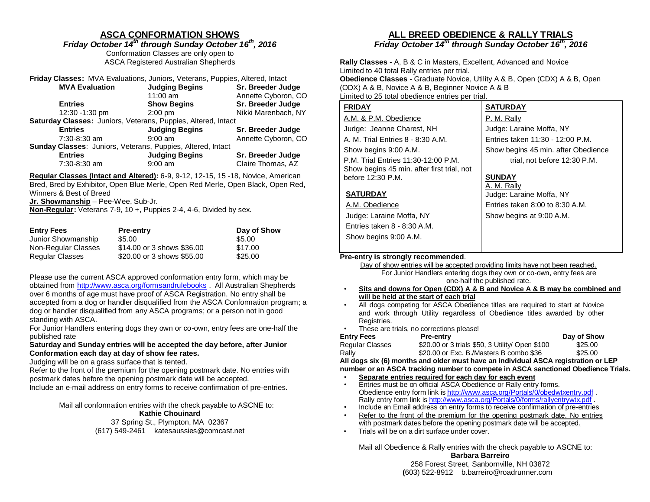### **ASCA CONFORMATION SHOWS**

*Friday October 14 th through Sunday October 16 th, 2016* Conformation Classes are only open to

ASCA Registered Australian Shepherds

|                                                                    | Friday Classes: MVA Evaluations, Juniors, Veterans, Puppies, Altered, Intact |                     |  |  |  |  |  |  |  |  |
|--------------------------------------------------------------------|------------------------------------------------------------------------------|---------------------|--|--|--|--|--|--|--|--|
| <b>MVA Evaluation</b>                                              | <b>Judging Begins</b>                                                        | Sr. Breeder Judge   |  |  |  |  |  |  |  |  |
|                                                                    | $11:00$ am                                                                   | Annette Cyboron, CO |  |  |  |  |  |  |  |  |
| <b>Entries</b>                                                     | <b>Show Begins</b>                                                           | Sr. Breeder Judge   |  |  |  |  |  |  |  |  |
| 12:30 -1:30 pm                                                     | $2:00$ pm                                                                    | Nikki Marenbach, NY |  |  |  |  |  |  |  |  |
| Saturday Classes: Juniors, Veterans, Puppies, Altered, Intact      |                                                                              |                     |  |  |  |  |  |  |  |  |
| <b>Entries</b>                                                     | <b>Judging Begins</b>                                                        | Sr. Breeder Judge   |  |  |  |  |  |  |  |  |
| 7:30-8:30 am                                                       | $9:00$ am                                                                    | Annette Cyboron, CO |  |  |  |  |  |  |  |  |
| <b>Sunday Classes: Juniors, Veterans, Puppies, Altered, Intact</b> |                                                                              |                     |  |  |  |  |  |  |  |  |
| <b>Entries</b>                                                     | <b>Judging Begins</b>                                                        | Sr. Breeder Judge   |  |  |  |  |  |  |  |  |
| 7:30-8:30 am                                                       | $9:00$ am                                                                    | Claire Thomas, AZ   |  |  |  |  |  |  |  |  |

**Regular Classes (Intact and Altered):** 6-9, 9-12, 12-15, 15 -18, Novice, American Bred, Bred by Exhibitor, Open Blue Merle, Open Red Merle, Open Black, Open Red, Winners & Best of Breed

**Jr. Showmanship** – Pee-Wee, Sub-Jr.

**Non-Regular:** Veterans 7-9, 10 +, Puppies 2-4, 4-6, Divided by sex.

| <b>Entry Fees</b>   | <b>Pre-entry</b>           | Day of Show |
|---------------------|----------------------------|-------------|
| Junior Showmanship  | \$5.00                     | \$5.00      |
| Non-Regular Classes | \$14,00 or 3 shows \$36,00 | \$17.00     |
| Regular Classes     | \$20.00 or 3 shows \$55.00 | \$25.00     |

Please use the current ASCA approved conformation entry form, which may be obtained from<http://www.asca.org/formsandrulebooks> . All Australian Shepherds over 6 months of age must have proof of ASCA Registration. No entry shall be accepted from a dog or handler disqualified from the ASCA Conformation program; a dog or handler disqualified from any ASCA programs; or a person not in good standing with ASCA.

For Junior Handlers entering dogs they own or co-own, entry fees are one-half the published rate

#### **Saturday and Sunday entries will be accepted the day before, after Junior Conformation each day at day of show fee rates.**

#### Judging will be on a grass surface that is tented.

Refer to the front of the premium for the opening postmark date. No entries with postmark dates before the opening postmark date will be accepted. Include an e-mail address on entry forms to receive confirmation of pre-entries.

Mail all conformation entries with the check payable to ASCNE to:

#### **Kathie Chouinard**

37 Spring St., Plympton, MA 02367 (617) 549-2461 katesaussies@comcast.net

#### **ALL BREED OBEDIENCE & RALLY TRIALS** *Friday October 14 th through Sunday October 16 th, 2016*

**Rally Classes** - A, B & C in Masters, Excellent, Advanced and Novice Limited to 40 total Rally entries per trial. **Obedience Classes** - Graduate Novice, Utility A & B, Open (CDX) A & B, Open (ODX) A & B, Novice A & B, Beginner Novice A & B Limited to 25 total obedience entries per trial.

| <b>FRIDAY</b>                              | <b>SATURDAY</b>                     |
|--------------------------------------------|-------------------------------------|
| A.M. & P.M. Obedience                      | P. M. Rally                         |
| Judge: Jeanne Charest, NH                  | Judge: Laraine Moffa, NY            |
| A. M. Trial Entries 8 - 8:30 A.M.          | Entries taken 11:30 - 12:00 P.M.    |
| Show begins 9:00 A.M.                      | Show begins 45 min. after Obedience |
| P.M. Trial Entries 11:30-12:00 P.M.        | trial, not before 12:30 P.M.        |
| Show begins 45 min. after first trial, not |                                     |
| before 12:30 P.M.                          | <b>SUNDAY</b>                       |
|                                            | A. M. Rally                         |
| <b>SATURDAY</b>                            | Judge: Laraine Moffa, NY            |
| A.M. Obedience                             | Entries taken 8:00 to 8:30 A.M.     |
| Judge: Laraine Moffa, NY                   | Show begins at 9:00 A.M.            |
| Entries taken 8 - 8:30 A.M.                |                                     |
| Show begins 9:00 A.M.                      |                                     |
|                                            |                                     |

#### **Pre-entry is strongly recommended**.

 Day of show entries will be accepted providing limits have not been reached. For Junior Handlers entering dogs they own or co-own, entry fees are one-half the published rate.

- **Sits and downs for Open (CDX) A & B and Novice A & B may be combined and will be held at the start of each trial**
- All dogs competing for ASCA Obedience titles are required to start at Novice and work through Utility regardless of Obedience titles awarded by other Registries.
- These are trials, no corrections please!

| Entry Fees      | <b>Pre-entry</b>                                | Day of Show |
|-----------------|-------------------------------------------------|-------------|
| Regular Classes | \$20.00 or 3 trials \$50, 3 Utility/ Open \$100 | \$25.00     |
| Rallv           | \$20,00 or Exc. B./Masters B combo \$36         | \$25.00     |

**All dogs six (6) months and older must have an individual ASCA registration or LEP number or an ASCA tracking number to compete in ASCA sanctioned Obedience Trials.**

- **Separate entries required for each day for each event**
- **Entries must be on official ASCA Obedience or Rally entry forms.** Obedience entry form link is <http://www.asca.org/Portals/0/obedwtxentry.pdf> . Rally entry form link is <http://www.asca.org/Portals/0/forms/rallyentrywtx.pdf> .
- Include an Email address on entry forms to receive confirmation of pre-entries
- Refer to the front of the premium for the opening postmark date. No entries with postmark dates before the opening postmark date will be accepted.
- Trials will be on a dirt surface under cover.

Mail all Obedience & Rally entries with the check payable to ASCNE to:

**Barbara Barreiro** 258 Forest Street, Sanbornville, NH 03872 **(**603) 522-8912 b.barreiro@roadrunner.com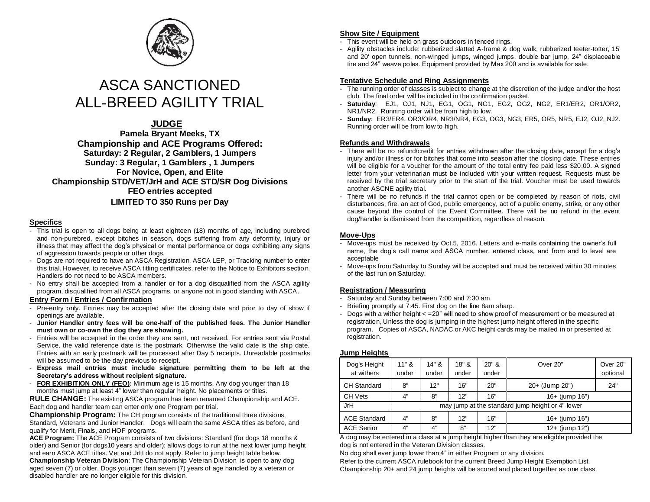

# ASCA SANCTIONED ALL-BREED AGILITY TRIAL

#### **JUDGE**

**Pamela Bryant Meeks, TX Championship and ACE Programs Offered: Saturday: 2 Regular, 2 Gamblers, 1 Jumpers Sunday: 3 Regular, 1 Gamblers , 1 Jumpers For Novice, Open, and Elite Championship STD/VET/JrH and ACE STD/SR Dog Divisions FEO entries accepted LIMITED TO 350 Runs per Day**

#### **Specifics**

- This trial is open to all dogs being at least eighteen (18) months of age, including purebred and non-purebred, except bitches in season, dogs suffering from any deformity, injury or illness that may affect the dog's physical or mental performance or dogs exhibiting any signs of aggression towards people or other dogs.
- Dogs are not required to have an ASCA Registration, ASCA LEP, or Tracking number to enter this trial. However, to receive ASCA titling certificates, refer to the Notice to Exhibitors sectio n. Handlers do not need to be ASCA members.
- No entry shall be accepted from a handler or for a dog disqualified from the ASCA agility program, disqualified from all ASCA programs, or anyone not in good standing with ASCA.

#### **Entry Form / Entries / Confirmation**

- Pre-entry only. Entries may be accepted after the closing date and prior to day of show if openings are available.
- **Junior Handler entry fees will be one-half of the published fees. The Junior Handler must own or co-own the dog they are showing.**
- Entries will be accepted in the order they are sent, not received. For entries sent via Postal Service, the valid reference date is the postmark. Otherwise the valid date is the ship date. Entries with an early postmark will be processed after Day 5 receipts. Unreadable postmarks will be assumed to be the day previous to receipt.
- **Express mail entries must include signature permitting them to be left at the Secretary's address without recipient signature.**
- **FOR EXHIBITION ONLY (FEO):** Minimum age is 15 months. Any dog younger than 18 months must jump at least 4" lower than regular height. No placements or titles.

**RULE CHANGE:** The existing ASCA program has been renamed Championship and ACE. Each dog and handler team can enter only one Program per trial.

**Championship Program:** The CH program consists of the traditional three divisions, Standard, Veterans and Junior Handler. Dogs will earn the same ASCA titles as before, and qualify for Merit, Finals, and HOF programs.

**ACE Program:** The ACE Program consists of two divisions: Standard (for dogs 18 months & older) and Senior (for dogs10 years and older); allows dogs to run at the next lower jump height and earn ASCA ACE titles. Vet and JrH do not apply. Refer to jump height table below. **Championship Veteran Division**: The Championship Veteran Division is open to any dog aged seven (7) or older. Dogs younger than seven (7) years of age handled by a veteran or disabled handler are no longer eligible for this division.

#### **Show Site / Equipment**

- This event will be held on grass outdoors in fenced rings.
- Agility obstacles include: rubberized slatted A-frame & dog walk, rubberized teeter-totter, 15' and 20' open tunnels, non-winged jumps, winged jumps, double bar jump, 24" displaceable tire and 24" weave poles. Equipment provided by Max 200 and is available for sale.

#### **Tentative Schedule and Ring Assignments**

- The running order of classes is subject to change at the discretion of the judge and/or the host club. The final order will be included in the confirmation packet.
- **Saturday**: EJ1, OJ1, NJ1, EG1, OG1, NG1, EG2, OG2, NG2, ER1/ER2, OR1/OR2, NR1/NR2. Running order will be from high to low.
- **Sunday**: ER3/ER4, OR3/OR4, NR3/NR4, EG3, OG3, NG3, ER5, OR5, NR5, EJ2, OJ2, NJ2. Running order will be from low to high.

#### **Refunds and Withdrawals**

- There will be no refund/credit for entries withdrawn after the closing date, except for a dog's injury and/or illness or for bitches that come into season after the closing date. These entries will be eligible for a voucher for the amount of the total entry fee paid less \$20.00. A signed letter from your veterinarian must be included with your written request. Requests must be received by the trial secretary prior to the start of the trial. Voucher must be used towards another ASCNE agility trial.
- There will be no refunds if the trial cannot open or be completed by reason of riots, civil disturbances, fire, an act of God, public emergency, act of a public enemy, strike, or any other cause beyond the control of the Event Committee. There will be no refund in the event dog/handler is dismissed from the competition, regardless of reason.

#### **Move-Ups**

- Move-ups must be received by Oct.5, 2016. Letters and e-mails containing the owner's full name, the dog's call name and ASCA number, entered class, and from and to level are acceptable
- Move-ups from Saturday to Sunday will be accepted and must be received within 30 minutes of the last run on Saturday.

#### **Registration / Measuring**

- Saturday and Sunday between 7:00 and 7:30 am
- Briefing promptly at 7:45. First dog on the line 8am sharp.
- Dogs with a wither height < =20" will need to show proof of measurement or be measured at registration, Unless the dog is jumping in the highest jump height offered in the specific program. Copies of ASCA, NADAC or AKC height cards may be mailed in or presented at registration.

#### **Jump Heights**

| Dog's Height<br>at withers | $11"$ &<br>under                                 | 14" &<br>under | 18" &<br>under | $20"$ &<br>under | Over 20"            | Over 20"<br>optional |
|----------------------------|--------------------------------------------------|----------------|----------------|------------------|---------------------|----------------------|
| <b>CH Standard</b>         | 8"                                               | 12"            | 16"            | 20"              | $20+$ (Jump 20")    | 24"                  |
| <b>CH Vets</b>             | 4"                                               | 8"             | 12"            | 16"              | 16+ (jump 16")      |                      |
| <b>JrH</b>                 | may jump at the standard jump height or 4" lower |                |                |                  |                     |                      |
| <b>ACE Standard</b>        | 4"                                               | 8"             | 12"            | 16"              | 16+ (jump 16")      |                      |
| <b>ACE Senior</b>          | 4"                                               | 4"             | 8"             | 12"              | $12+$ (jump $12"$ ) |                      |

A dog may be entered in a class at a jump height higher than they are eligible provided the dog is not entered in the Veteran Division classes.

No dog shall ever jump lower than 4" in either Program or any division.

Refer to the current ASCA rulebook for the current Breed Jump Height Exemption List. Championship 20+ and 24 jump heights will be scored and placed together as one class.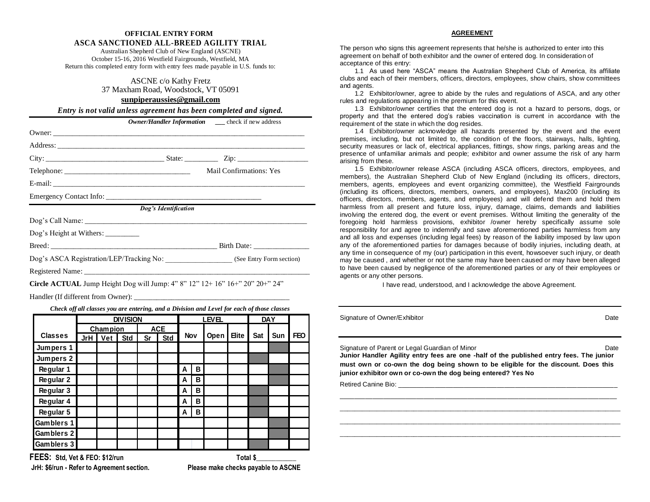#### **OFFICIAL ENTRY FORM ASCA SANCTIONED ALL-BREED AGILITY TRIAL**

Australian Shepherd Club of New England (ASCNE) October 15-16, 2016 Westfield Fairgrounds, Westfield, MA Return this completed entry form with entry fees made payable in U.S. funds to:

#### ASCNE c/o Kathy Fretz 37 Maxham Road, Woodstock, VT 05091

#### **[sunpiperaussies@gmail.com](mailto:sunpiperaussies@gmail.com)**

*Entry is not valid unless agreement has been completed and signed.*

|                                    | Mail Confirmations: Yes                                                                                                                                                                                                       |
|------------------------------------|-------------------------------------------------------------------------------------------------------------------------------------------------------------------------------------------------------------------------------|
|                                    |                                                                                                                                                                                                                               |
|                                    |                                                                                                                                                                                                                               |
| Dog's Identification               |                                                                                                                                                                                                                               |
|                                    | Dog's Call Name: the contract of the contract of the contract of the contract of the contract of the contract of the contract of the contract of the contract of the contract of the contract of the contract of the contract |
| Dog's Height at Withers: _________ |                                                                                                                                                                                                                               |
|                                    | Birth Date:                                                                                                                                                                                                                   |
|                                    | Dog's ASCA Registration/LEP/Tracking No: _____________________ (See Entry Form section)                                                                                                                                       |
|                                    |                                                                                                                                                                                                                               |
|                                    |                                                                                                                                                                                                                               |

**Circle ACTUAL** Jump Height Dog will Jump: 4" 8" 12" 12+ 16" 16+" 20" 20+" 24"

Handler (If different from Owner): \_\_\_\_\_\_\_\_\_\_\_\_\_\_\_\_\_\_\_\_\_\_\_\_\_\_\_\_\_\_\_\_\_\_\_\_\_\_\_\_\_\_

*Check off all classes you are entering, and a Division and Level for each of those classes*

|                   | <b>DIVISION</b> |                 |            |    | LEVEL      |     |   |      | <b>DAY</b>   |     |     |            |
|-------------------|-----------------|-----------------|------------|----|------------|-----|---|------|--------------|-----|-----|------------|
|                   |                 | <b>Champion</b> |            |    | <b>ACE</b> |     |   |      |              |     |     |            |
| <b>Classes</b>    | <b>JrH</b>      | Vet             | <b>Std</b> | Sr | <b>Std</b> | Nov |   | Open | <b>Elite</b> | Sat | Sun | <b>FEO</b> |
| Jumpers 1         |                 |                 |            |    |            |     |   |      |              |     |     |            |
| Jumpers 2         |                 |                 |            |    |            |     |   |      |              |     |     |            |
| Regular 1         |                 |                 |            |    |            | А   | в |      |              |     |     |            |
| Regular 2         |                 |                 |            |    |            | А   | в |      |              |     |     |            |
| Regular 3         |                 |                 |            |    |            | Α   | в |      |              |     |     |            |
| Regular 4         |                 |                 |            |    |            | А   | в |      |              |     |     |            |
| Regular 5         |                 |                 |            |    |            | А   | в |      |              |     |     |            |
| Gamblers 1        |                 |                 |            |    |            |     |   |      |              |     |     |            |
| Gamblers 2        |                 |                 |            |    |            |     |   |      |              |     |     |            |
| <b>Gamblers 3</b> |                 |                 |            |    |            |     |   |      |              |     |     |            |

**FEES:** Std, Vet & FEO: \$12/run Total \$

**JrH: \$6/run - Refer to Agreement section. Please make checks payable to ASCNE**

#### **AGREEMENT**

The person who signs this agreement represents that he/she is authorized to enter into this agreement on behalf of both exhibitor and the owner of entered dog. In consideration of acceptance of this entry:

1.1 As used here "ASCA" means the Australian Shepherd Club of America, its affiliate clubs and each of their members, officers, directors, employees, show chairs, show committees and agents.

1.2 Exhibitor/owner, agree to abide by the rules and regulations of ASCA, and any other rules and regulations appearing in the premium for this event.

1.3 Exhibitor/owner certifies that the entered dog is not a hazard to persons, dogs, or property and that the entered dog's rabies vaccination is current in accordance with the requirement of the state in which the dog resides.

1.4 Exhibitor/owner acknowledge all hazards presented by the event and the event premises, including, but not limited to, the condition of the floors, stairways, halls, lighting, security measures or lack of, electrical appliances, fittings, show rings, parking areas and the presence of unfamiliar animals and people; exhibitor and owner assume the risk of any harm arising from these.

1.5 Exhibitor/owner release ASCA (including ASCA officers, directors, employees, and members), the Australian Shepherd Club of New England (including its officers, directors, members, agents, employees and event organizing committee), the Westfield Fairgrounds (including its officers, directors, members, owners, and employees), Max200 (including its officers, directors, members, agents, and employees) and will defend them and hold them harmless from all present and future loss, injury, damage, claims, demands and liabilities involving the entered dog, the event or event premises. Without limiting the generality of the foregoing hold harmless provisions, exhibitor /owner hereby specifically assume sole responsibility for and agree to indemnify and save aforementioned parties harmless from any and all loss and expenses (including legal fees) by reason of the liability imposed by law upon any of the aforementioned parties for damages because of bodily injuries, including death, at any time in consequence of my (our) participation in this event, howsoever such injury, or death may be caused , and whether or not the same may have been caused or may have been alleged to have been caused by negligence of the aforementioned parties or any of their employees or agents or any other persons.

I have read, understood, and I acknowledge the above Agreement.

Signature of Owner/Exhibitor Date Communication of Owner/Exhibitor Date Communication of Date Date

Signature of Parent or Legal Guardian of Minor Date Date Date Date

**Junior Handler Agility entry fees are one -half of the published entry fees. The junior must own or co-own the dog being shown to be eligible for the discount. Does this junior exhibitor own or co-own the dog being entered? Yes No**

\_\_\_\_\_\_\_\_\_\_\_\_\_\_\_\_\_\_\_\_\_\_\_\_\_\_\_\_\_\_\_\_\_\_\_\_\_\_\_\_\_\_\_\_\_\_\_\_\_\_\_\_\_\_\_\_\_\_\_\_\_\_\_\_\_\_\_\_\_\_\_\_\_\_\_\_ \_\_\_\_\_\_\_\_\_\_\_\_\_\_\_\_\_\_\_\_\_\_\_\_\_\_\_\_\_\_\_\_\_\_\_\_\_\_\_\_\_\_\_\_\_\_\_\_\_\_\_\_\_\_\_\_\_\_\_\_\_\_\_\_\_\_\_\_\_\_\_\_\_\_\_\_ \_\_\_\_\_\_\_\_\_\_\_\_\_\_\_\_\_\_\_\_\_\_\_\_\_\_\_\_\_\_\_\_\_\_\_\_\_\_\_\_\_\_\_\_\_\_\_\_\_\_\_\_\_\_\_\_\_\_\_\_\_\_\_\_\_\_\_\_\_\_\_\_\_\_\_\_ \_\_\_\_\_\_\_\_\_\_\_\_\_\_\_\_\_\_\_\_\_\_\_\_\_\_\_\_\_\_\_\_\_\_\_\_\_\_\_\_\_\_\_\_\_\_\_\_\_\_\_\_\_\_\_\_\_\_\_\_\_\_\_\_\_\_\_\_\_\_\_\_\_\_\_\_

Retired Canine Bio: \_\_\_\_\_\_\_\_\_\_\_\_\_\_\_\_\_\_\_\_\_\_\_\_\_\_\_\_\_\_\_\_\_\_\_\_\_\_\_\_\_\_\_\_\_\_\_\_\_\_\_\_\_\_\_\_\_\_\_\_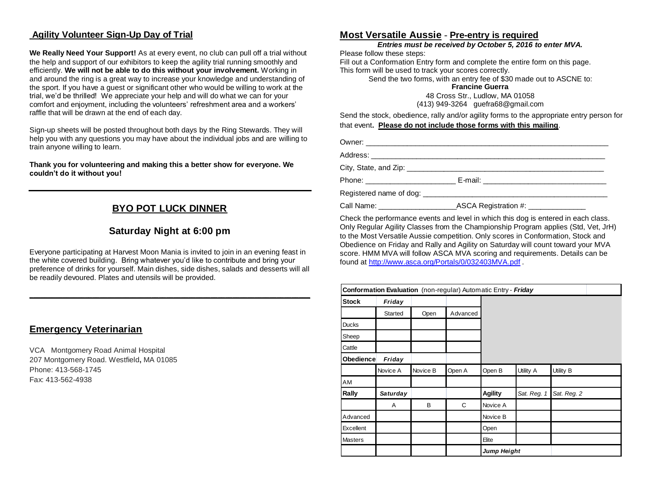## **Agility Volunteer Sign-Up Day of Trial**

**We Really Need Your Support!** As at every event, no club can pull off a trial without the help and support of our exhibitors to keep the agility trial running smoothly and efficiently. **We will not be able to do this without your involvement.** Working in and around the ring is a great way to increase your knowledge and understanding of the sport. If you have a guest or significant other who would be willing to work at the trial, we'd be thrilled! We appreciate your help and will do what we can for your comfort and enjoyment, including the volunteers' refreshment area and a workers' raffle that will be drawn at the end of each day.

Sign-up sheets will be posted throughout both days by the Ring Stewards. They will help you with any questions you may have about the individual jobs and are willing to train anyone willing to learn.

**Thank you for volunteering and making this a better show for everyone. We couldn't do it without you!**

## **BYO POT LUCK DINNER**

## **Saturday Night at 6:00 pm**

Everyone participating at Harvest Moon Mania is invited to join in an evening feast in the white covered building. Bring whatever you'd like to contribute and bring your preference of drinks for yourself. Main dishes, side dishes, salads and desserts will all be readily devoured. Plates and utensils will be provided.

**\_\_\_\_\_\_\_\_\_\_\_\_\_\_\_\_\_\_\_\_\_\_\_\_\_\_\_\_\_\_\_\_\_\_\_\_\_\_\_\_\_\_\_\_\_\_\_\_\_\_\_\_\_\_\_\_\_\_\_\_\_\_\_\_\_\_\_\_\_\_\_\_\_\_\_\_**

#### **Emergency Veterinarian**

VCA Montgomery Road Animal Hospital 207 Montgomery Road. Westfield**,** MA 01085 Phone: 413-568-1745 Fax: 413-562-4938

#### **Most Versatile Aussie** - **Pre-entry is required**

*Entries must be received by October 5, 2016 to enter MVA.*

Please follow these steps:

Fill out a Conformation Entry form and complete the entire form on this page. This form will be used to track your scores correctly.

Send the two forms, with an entry fee of \$30 made out to ASCNE to:

**Francine Guerra**

48 Cross Str., Ludlow, MA 01058 (413) 949-3264 guefra68@gmail.com

Send the stock, obedience, rally and/or agility forms to the appropriate entry person for that event**. Please do not include those forms with this mailing**.

Owner: \_\_\_\_\_\_\_\_\_\_\_\_\_\_\_\_\_\_\_\_\_\_\_\_\_\_\_\_\_\_\_\_\_\_\_\_\_\_\_\_\_\_\_\_\_\_\_\_\_\_\_\_\_\_\_\_\_\_\_

Address: \_\_\_\_\_\_\_\_\_\_\_\_\_\_\_\_\_\_\_\_\_\_\_\_\_\_\_\_\_\_\_\_\_\_\_\_\_\_\_\_\_\_\_\_\_\_\_\_\_\_\_\_\_\_\_\_\_

City, State, and Zip: \_\_\_\_\_\_\_\_\_\_\_\_\_\_\_\_\_\_\_\_\_\_\_\_\_\_\_\_\_\_\_\_\_\_\_\_\_\_\_\_\_\_\_\_\_\_\_\_

Phone: \_\_\_\_\_\_\_\_\_\_\_\_\_\_\_\_\_\_\_\_\_\_\_\_\_\_\_\_\_ E-mail: \_\_\_\_\_\_\_\_\_\_\_\_\_\_\_\_\_\_\_\_\_\_\_\_\_\_\_\_\_\_\_\_\_\_\_

Registered name of dog: <br>
Registered name of dog:

Call Name: \_\_\_\_\_\_\_\_\_\_\_\_\_\_\_\_\_\_\_ASCA Registration #: \_\_\_\_\_\_\_\_\_\_\_\_\_\_

Check the performance events and level in which this dog is entered in each class. Only Regular Agility Classes from the Championship Program applies (Std, Vet, JrH) to the Most Versatile Aussie competition. Only scores in Conformation, Stock and Obedience on Friday and Rally and Agility on Saturday will count toward your MVA score. HMM MVA will follow ASCA MVA scoring and requirements. Details can be found at<http://www.asca.org/Portals/0/032403MVA.pdf> .

|                | Conformation Evaluation (non-regular) Automatic Entry - Friday |          |          |                |             |             |
|----------------|----------------------------------------------------------------|----------|----------|----------------|-------------|-------------|
| <b>Stock</b>   | Friday                                                         |          |          |                |             |             |
|                | Started                                                        | Open     | Advanced |                |             |             |
| <b>Ducks</b>   |                                                                |          |          |                |             |             |
| Sheep          |                                                                |          |          |                |             |             |
| Cattle         |                                                                |          |          |                |             |             |
| Obedience      | Friday                                                         |          |          |                |             |             |
|                | Novice A                                                       | Novice B | Open A   | Open B         | Utility A   | Utility B   |
| AM             |                                                                |          |          |                |             |             |
| Rally          | <b>Saturday</b>                                                |          |          | <b>Agility</b> | Sat. Reg. 1 | Sat. Reg. 2 |
|                | A                                                              | B        | C        | Novice A       |             |             |
| Advanced       |                                                                |          |          | Novice B       |             |             |
| Excellent      |                                                                |          |          | Open           |             |             |
| <b>Masters</b> |                                                                |          |          | Elite          |             |             |
|                |                                                                |          |          | Jump Height    |             |             |